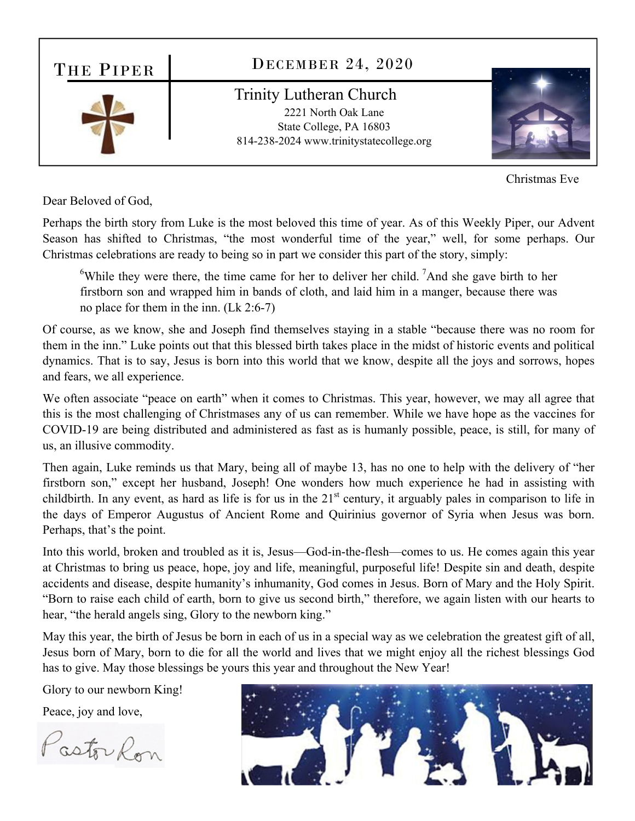

Dear Beloved of God,

Perhaps the birth story from Luke is the most beloved this time of year. As of this Weekly Piper, our Advent Season has shifted to Christmas, "the most wonderful time of the year," well, for some perhaps. Our Christmas celebrations are ready to being so in part we consider this part of the story, simply:

<sup>6</sup>While they were there, the time came for her to deliver her child. <sup>7</sup>And she gave birth to her firstborn son and wrapped him in bands of cloth, and laid him in a manger, because there was no place for them in the inn. (Lk 2:6-7)

Of course, as we know, she and Joseph find themselves staying in a stable "because there was no room for them in the inn." Luke points out that this blessed birth takes place in the midst of historic events and political dynamics. That is to say, Jesus is born into this world that we know, despite all the joys and sorrows, hopes and fears, we all experience.

We often associate "peace on earth" when it comes to Christmas. This year, however, we may all agree that this is the most challenging of Christmases any of us can remember. While we have hope as the vaccines for COVID-19 are being distributed and administered as fast as is humanly possible, peace, is still, for many of us, an illusive commodity.

Then again, Luke reminds us that Mary, being all of maybe 13, has no one to help with the delivery of "her firstborn son," except her husband, Joseph! One wonders how much experience he had in assisting with childbirth. In any event, as hard as life is for us in the  $21<sup>st</sup>$  century, it arguably pales in comparison to life in the days of Emperor Augustus of Ancient Rome and Quirinius governor of Syria when Jesus was born. Perhaps, that's the point.

Into this world, broken and troubled as it is, Jesus—God-in-the-flesh—comes to us. He comes again this year at Christmas to bring us peace, hope, joy and life, meaningful, purposeful life! Despite sin and death, despite accidents and disease, despite humanity's inhumanity, God comes in Jesus. Born of Mary and the Holy Spirit. "Born to raise each child of earth, born to give us second birth," therefore, we again listen with our hearts to hear, "the herald angels sing, Glory to the newborn king."

May this year, the birth of Jesus be born in each of us in a special way as we celebration the greatest gift of all, Jesus born of Mary, born to die for all the world and lives that we might enjoy all the richest blessings God has to give. May those blessings be yours this year and throughout the New Year!

Glory to our newborn King!

Peace, joy and love,

PastorRon